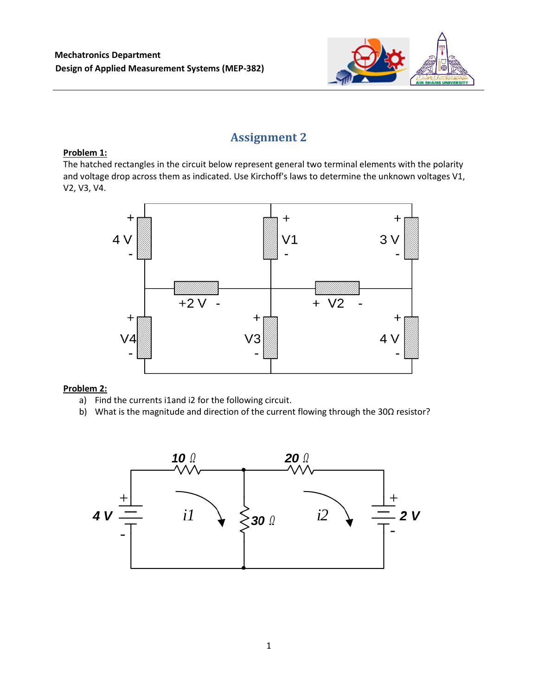

# **Assignment 2**

# **Problem 1:**

The hatched rectangles in the circuit below represent general two terminal elements with the polarity and voltage drop across them as indicated. Use Kirchoff's laws to determine the unknown voltages V1, V2, V3, V4.



# **Problem 2:**

- a) Find the currents i1and i2 for the following circuit.
- b) What is the magnitude and direction of the current flowing through the 30Ω resistor?

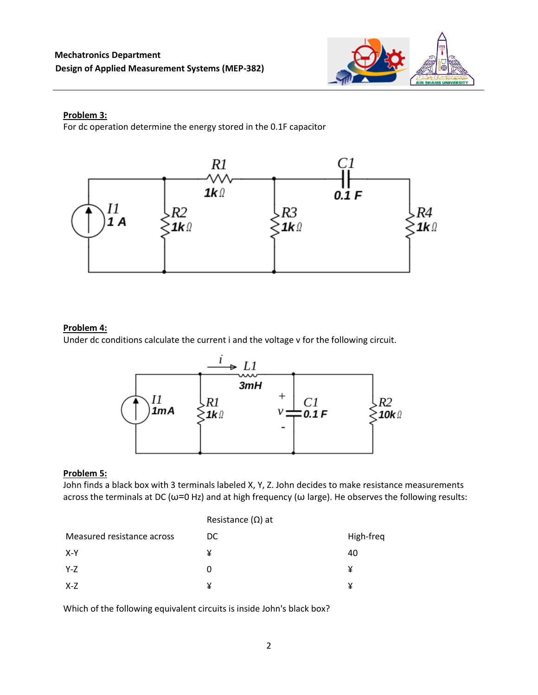

#### **Problem 3:**

For dc operation determine the energy stored in the 0.1F capacitor



### **Problem 4:**

Under dc conditions calculate the current i and the voltage v for the following circuit.



### **Problem 5:**

John finds a black box with 3 terminals labeled Χ, Υ, Ζ. John decides to make resistance measurements across the terminals at DC ( $\omega$ =0 Hz) and at high frequency ( $\omega$  large). He observes the following results:

|                            | Resistance $(\Omega)$ at |           |
|----------------------------|--------------------------|-----------|
| Measured resistance across | DC.                      | High-freq |
| X-Y                        | ¥                        | 40        |
| Y-Z                        | 0                        | ¥         |
| X-Z                        | ¥                        | ¥         |

Which of the following equivalent circuits is inside John's black box?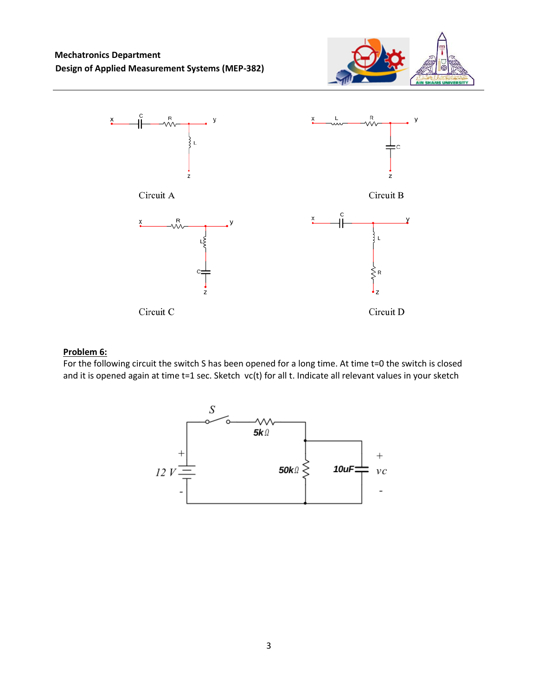



#### **Problem 6:**

For the following circuit the switch S has been opened for a long time. At time t=0 the switch is closed and it is opened again at time t=1 sec. Sketch vc(t) for all t. Indicate all relevant values in your sketch